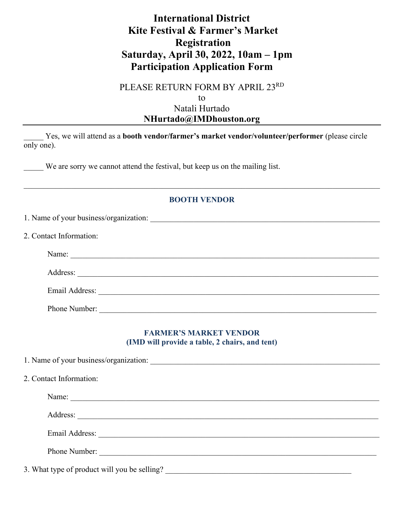## **International District Kite Festival & Farmer's Market Registration Saturday, April 30, 2022, 10am – 1pm Participation Application Form**

PLEASE RETURN FORM BY APRIL 23RD

to Natali Hurtado **NHurtado@IMDhouston.org**

\_\_\_\_\_ Yes, we will attend as a **booth vendor/farmer's market vendor/volunteer/performer** (please circle only one).

We are sorry we cannot attend the festival, but keep us on the mailing list.

## **BOOTH VENDOR**

| 2. Contact Information: |                                                                                                                                                                                                                               |  |
|-------------------------|-------------------------------------------------------------------------------------------------------------------------------------------------------------------------------------------------------------------------------|--|
|                         | Name:                                                                                                                                                                                                                         |  |
|                         | Address:                                                                                                                                                                                                                      |  |
|                         | Email Address: and a contract of the contract of the contract of the contract of the contract of the contract of the contract of the contract of the contract of the contract of the contract of the contract of the contract |  |
|                         | Phone Number:                                                                                                                                                                                                                 |  |

## **FARMER'S MARKET VENDOR (IMD will provide a table, 2 chairs, and tent)**

| 2. Contact Information:                                                                                                                                                                                                        |  |
|--------------------------------------------------------------------------------------------------------------------------------------------------------------------------------------------------------------------------------|--|
| Name:                                                                                                                                                                                                                          |  |
| Address:                                                                                                                                                                                                                       |  |
| Email Address: Note and Address and Address and Address and Address and Address and Address and Address and Address and Address and Address and Address and Address and Address and Address and Address and Address and Addres |  |
| Phone Number:                                                                                                                                                                                                                  |  |
| 3. What type of product will you be selling?                                                                                                                                                                                   |  |